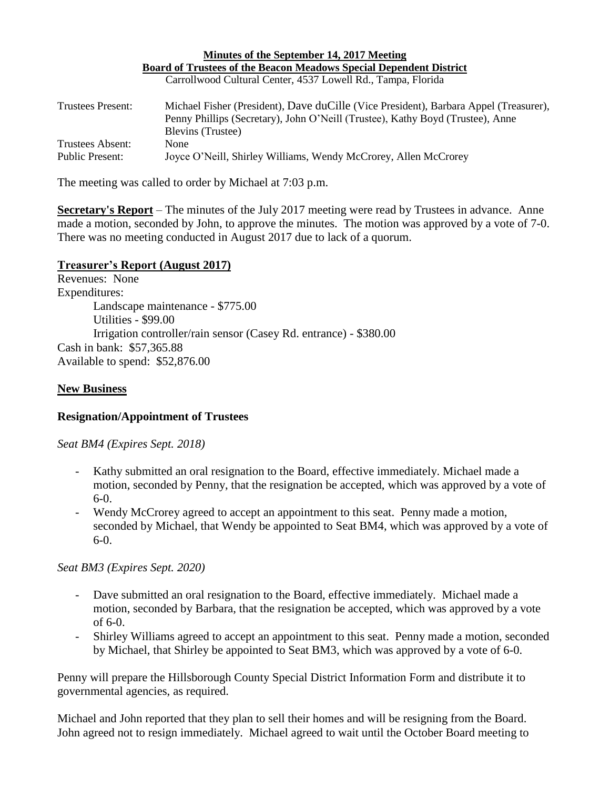|                                            | Board of Trustees of the Beacon Meadows Special Dependent District                                                                                                                                  |
|--------------------------------------------|-----------------------------------------------------------------------------------------------------------------------------------------------------------------------------------------------------|
|                                            | Carrollwood Cultural Center, 4537 Lowell Rd., Tampa, Florida                                                                                                                                        |
| Trustees Present:                          | Michael Fisher (President), Dave duCille (Vice President), Barbara Appel (Treasurer),<br>Penny Phillips (Secretary), John O'Neill (Trustee), Kathy Boyd (Trustee), Anne<br><b>Blevins</b> (Trustee) |
| Trustees Absent:<br><b>Public Present:</b> | None<br>Joyce O'Neill, Shirley Williams, Wendy McCrorey, Allen McCrorey                                                                                                                             |

**Minutes of the September 14, 2017 Meeting**

The meeting was called to order by Michael at 7:03 p.m.

**Secretary's Report** – The minutes of the July 2017 meeting were read by Trustees in advance. Anne made a motion, seconded by John, to approve the minutes. The motion was approved by a vote of 7-0. There was no meeting conducted in August 2017 due to lack of a quorum.

### **Treasurer's Report (August 2017)**

Revenues: None Expenditures: Landscape maintenance - \$775.00 Utilities - \$99.00 Irrigation controller/rain sensor (Casey Rd. entrance) - \$380.00 Cash in bank: \$57,365.88 Available to spend: \$52,876.00

#### **New Business**

#### **Resignation/Appointment of Trustees**

*Seat BM4 (Expires Sept. 2018)*

- Kathy submitted an oral resignation to the Board, effective immediately. Michael made a motion, seconded by Penny, that the resignation be accepted, which was approved by a vote of 6-0.
- Wendy McCrorey agreed to accept an appointment to this seat. Penny made a motion, seconded by Michael, that Wendy be appointed to Seat BM4, which was approved by a vote of  $6-0.$

*Seat BM3 (Expires Sept. 2020)*

- Dave submitted an oral resignation to the Board, effective immediately. Michael made a motion, seconded by Barbara, that the resignation be accepted, which was approved by a vote of 6-0.
- Shirley Williams agreed to accept an appointment to this seat. Penny made a motion, seconded by Michael, that Shirley be appointed to Seat BM3, which was approved by a vote of 6-0.

Penny will prepare the Hillsborough County Special District Information Form and distribute it to governmental agencies, as required.

Michael and John reported that they plan to sell their homes and will be resigning from the Board. John agreed not to resign immediately. Michael agreed to wait until the October Board meeting to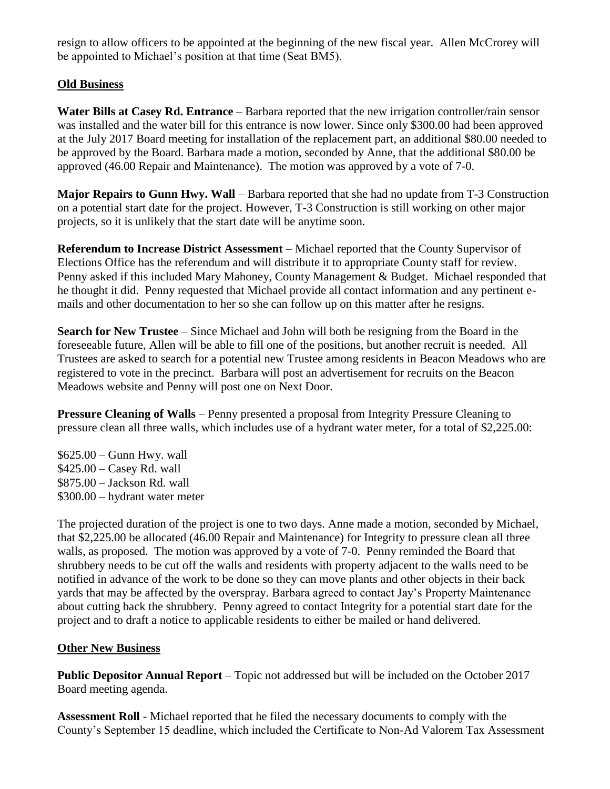resign to allow officers to be appointed at the beginning of the new fiscal year. Allen McCrorey will be appointed to Michael's position at that time (Seat BM5).

# **Old Business**

**Water Bills at Casey Rd. Entrance** – Barbara reported that the new irrigation controller/rain sensor was installed and the water bill for this entrance is now lower. Since only \$300.00 had been approved at the July 2017 Board meeting for installation of the replacement part, an additional \$80.00 needed to be approved by the Board. Barbara made a motion, seconded by Anne, that the additional \$80.00 be approved (46.00 Repair and Maintenance). The motion was approved by a vote of 7-0.

**Major Repairs to Gunn Hwy. Wall** – Barbara reported that she had no update from T-3 Construction on a potential start date for the project. However, T-3 Construction is still working on other major projects, so it is unlikely that the start date will be anytime soon.

**Referendum to Increase District Assessment** – Michael reported that the County Supervisor of Elections Office has the referendum and will distribute it to appropriate County staff for review. Penny asked if this included Mary Mahoney, County Management & Budget. Michael responded that he thought it did. Penny requested that Michael provide all contact information and any pertinent emails and other documentation to her so she can follow up on this matter after he resigns.

**Search for New Trustee** – Since Michael and John will both be resigning from the Board in the foreseeable future, Allen will be able to fill one of the positions, but another recruit is needed. All Trustees are asked to search for a potential new Trustee among residents in Beacon Meadows who are registered to vote in the precinct. Barbara will post an advertisement for recruits on the Beacon Meadows website and Penny will post one on Next Door.

**Pressure Cleaning of Walls** – Penny presented a proposal from Integrity Pressure Cleaning to pressure clean all three walls, which includes use of a hydrant water meter, for a total of \$2,225.00:

\$625.00 – Gunn Hwy. wall \$425.00 – Casey Rd. wall \$875.00 – Jackson Rd. wall \$300.00 – hydrant water meter

The projected duration of the project is one to two days. Anne made a motion, seconded by Michael, that \$2,225.00 be allocated (46.00 Repair and Maintenance) for Integrity to pressure clean all three walls, as proposed. The motion was approved by a vote of 7-0. Penny reminded the Board that shrubbery needs to be cut off the walls and residents with property adjacent to the walls need to be notified in advance of the work to be done so they can move plants and other objects in their back yards that may be affected by the overspray. Barbara agreed to contact Jay's Property Maintenance about cutting back the shrubbery. Penny agreed to contact Integrity for a potential start date for the project and to draft a notice to applicable residents to either be mailed or hand delivered.

## **Other New Business**

**Public Depositor Annual Report** – Topic not addressed but will be included on the October 2017 Board meeting agenda.

**Assessment Roll** - Michael reported that he filed the necessary documents to comply with the County's September 15 deadline, which included the Certificate to Non-Ad Valorem Tax Assessment